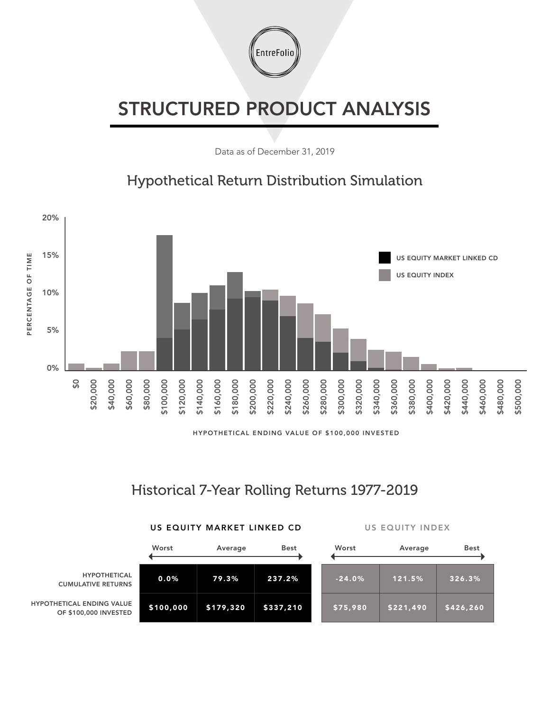

## STRUCTURED PRODUCT ANALYSIS

Data as of December 31, 2019

## Hypothetical Return Distribution Simulation



HYPOTHETICAL ENDING VALUE OF \$100,000 INVESTED

## Historical 7-Year Rolling Returns 1977-2019